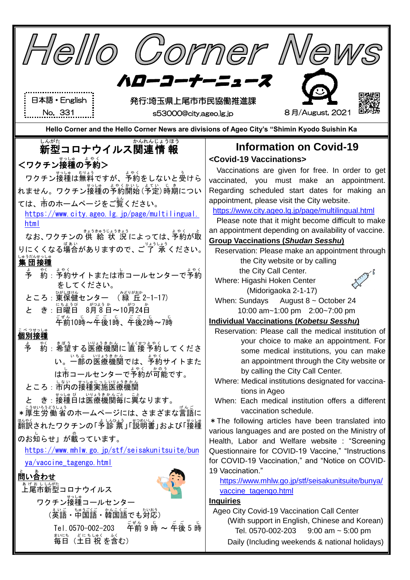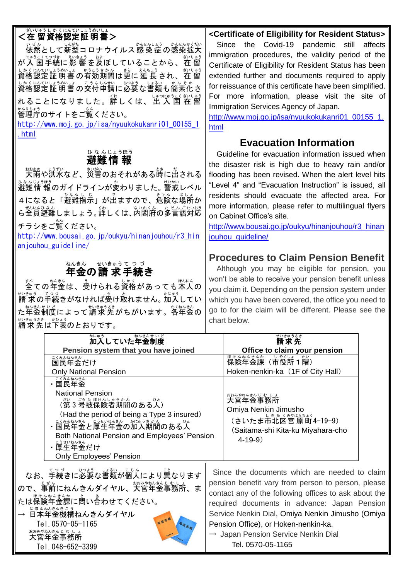## ─ ៵៶ッゅぅしゕくにんていしょうめいしょ<br>**<在 留資格認定証 明書>**

い<sub>ぜん</sub><br>依然として新型コロナウイルス感 染 症 の感染拡大 、<sub>にゅうこくてつき、ぇいきょう。およう。</sub><br>が入 国 手続に 影 響 を及ぼしていることから、 在 留 しかくにんていようめいよ。<br>資格認定証 明書 の有効期間は更に 延 長 され、 在 留 しかくにんひしょうかしょ。こうふんばんさん。<br>資格認定 証 明 書 の交付申請に必要な書類も簡素化さ れることになりました。詳しくは、出 入 国 在留 管理庁 かんりちょう のサイトをご覧 らん ください。

[http://www.moj.go.jp/isa/nyuukokukanri01\\_00155\\_1](http://www.moj.go.jp/isa/nyuukokukanri01_00155_1.html) [.html](http://www.moj.go.jp/isa/nyuukokukanri01_00155_1.html)

#### 避難 情 報 ひ な んじょうほう

\*\*\*\*。 こうすい<br>大雨や洪水など、災害のおそれがある時に出される งなんじょうほう<br>避難情 報のガイドラインが変わりました。 警戒レベル 4になると「避難指示」が出ますので、危険な場所か ■もいんなん<br>**ら全員避難しましょう。詳しくは、内閣府の多言語対応** チラシをご覧 らん ください。

[http://www.bousai.go.jp/oukyu/hinanjouhou/r3\\_hin](http://www.bousai.go.jp/oukyu/hinanjouhou/r3_hinanjouhou_guideline/) [anjouhou\\_guideline/](http://www.bousai.go.jp/oukyu/hinanjouhou/r3_hinanjouhou_guideline/)

## <u>\*</u>^\*^ <del>\*</del>^\*%?てっづ<br>**年金の請 求手続き**

<sub>ま。</sub><br>全ての年金は、受けられる資格があっても本人の 請 求 せいきゅう の手続 てつづ きがなければ受け取 う と れません。加入 かにゅう してい た年金制度によって請求先がちがいます。<sup>なねは必</sup>の まいきゅうきも かひょう<br>請 求 先 は下表のとおりです。

**<Certificate of Eligibility for Resident Status>** Since the Covid-19 pandemic still affects

immigration procedures, the validity period of the Certificate of Eligibility for Resident Status has been extended further and documents required to apply for reissuance of this certificate have been simplified. For more information, please visit the site of Immigration Services Agency of Japan.

[http://www.moj.go.jp/isa/nyuukokukanri01\\_00155\\_1.](http://www.moj.go.jp/isa/nyuukokukanri01_00155_1.html) [html](http://www.moj.go.jp/isa/nyuukokukanri01_00155_1.html)

## **Evacuation Information**

Guideline for evacuation information issued when the disaster risk is high due to heavy rain and/or flooding has been revised. When the alert level hits "Level 4" and "Evacuation Instruction" is issued, all residents should evacuate the affected area. For more information, please refer to multilingual flyers on Cabinet Office's site.

[http://www.bousai.go.jp/oukyu/hinanjouhou/r3\\_hinan](http://www.bousai.go.jp/oukyu/hinanjouhou/r3_hinanjouhou_guideline/) [jouhou\\_guideline/](http://www.bousai.go.jp/oukyu/hinanjouhou/r3_hinanjouhou_guideline/)

## **Procedures to Claim Pension Benefit**

Although you may be eligible for pension, you won't be able to receive your pension benefit unless you claim it. Depending on the pension system under which you have been covered, the office you need to go to for the claim will be different. Please see the chart below.

|                                                                                                                                                                                          | ねんきんせ いど<br>かにゅう<br>加入していた年金制度                                                                                                                                                                                                                                                |                                                                                                                                                                                                                                                                                                                                                                                  | ごうゅうさき                                                                                                                  |  |
|------------------------------------------------------------------------------------------------------------------------------------------------------------------------------------------|-------------------------------------------------------------------------------------------------------------------------------------------------------------------------------------------------------------------------------------------------------------------------------|----------------------------------------------------------------------------------------------------------------------------------------------------------------------------------------------------------------------------------------------------------------------------------------------------------------------------------------------------------------------------------|-------------------------------------------------------------------------------------------------------------------------|--|
|                                                                                                                                                                                          | Pension system that you have joined                                                                                                                                                                                                                                           |                                                                                                                                                                                                                                                                                                                                                                                  | Office to claim your pension                                                                                            |  |
|                                                                                                                                                                                          |                                                                                                                                                                                                                                                                               |                                                                                                                                                                                                                                                                                                                                                                                  | 保険年金課 (市役所 1階)                                                                                                          |  |
|                                                                                                                                                                                          | <b>Only National Pension</b>                                                                                                                                                                                                                                                  |                                                                                                                                                                                                                                                                                                                                                                                  | Hoken-nenkin-ka (1F of City Hall)                                                                                       |  |
|                                                                                                                                                                                          | こくみんねんきん<br>・国民年金<br><b>National Pension</b><br>(第3号被保険者期間のある人)<br>(Had the period of being a Type 3 insured)<br>‐ <sub>こくみんねんきん</sub> こぅせいねんきん  かにゅうきゕ゚ん<br>・国民年金と厚生年金の加入期間のある人<br>Both National Pension and Employees' Pension<br>・厚生年金だけ<br><b>Only Employees' Pension</b> |                                                                                                                                                                                                                                                                                                                                                                                  | おおみやねんきんじむしょ<br>大宮年金事務所<br>Omiya Nenkin Jimusho<br>(さいたま市北区宮原町4-19-9)<br>(Saitama-shi Kita-ku Miyahara-cho<br>$4-19-9)$ |  |
| なお、手続きに必要な書類が個人により異なります<br>ので、事前にねんきんダイヤル、大宮年金事務所、ま<br>たは保険年金課に問い合わせてください。<br>にほんねんきんきこう<br>→ 日本年金機構ねんきんダイヤル<br>医金手根<br>Tel.0570-05-1165<br>おおみやねんきんじ むしょ<br>大宮年金事務所<br>Tel.048-652-3399 |                                                                                                                                                                                                                                                                               | Since the documents which are needed to claim<br>pension benefit vary from person to person, please<br>contact any of the following offices to ask about the<br>required documents in advance: Japan Pension<br>Service Nenkin Dial, Omiya Nenkin Jimusho (Omiya<br>Pension Office), or Hoken-nenkin-ka.<br>$\rightarrow$ Japan Pension Service Nenkin Dial<br>Tel. 0570-05-1165 |                                                                                                                         |  |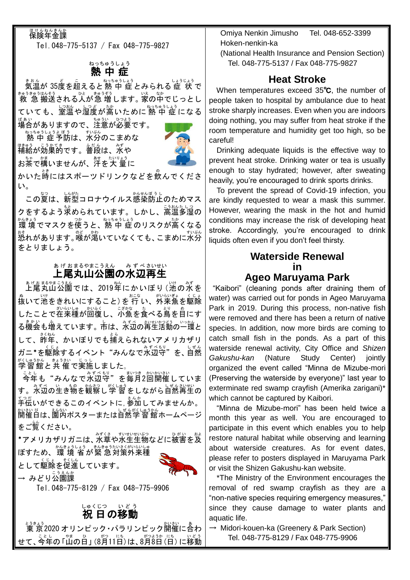## <sub>ほけんねんきんか</sub>

Tel.048-775-5137 / Fax 048-775-9827

#### 熱中症 ねっちゅうしょう

気温 きおん が 35度 ど を超 こ えると熱 中 症 ねっちゅうしょう とみられる 症 状 しょうじょう で <sub>きゅうきゅうはんそう</sub><br>救 急 搬送される人が急 増します。 家の中でじっとし ていても、室温や湿度が高いために熱 中 症になる <sub>ばぁぃ</sub><br>場合がありますので、注意が必要です。

ねっちゅうしょう。ょぼう<br>|熱 中 症 予防は、水分のこまめな <sub>ほ。。。</sub><br>補給が効果的です。普段は、水や お茶で構いませんが、<sup>にもたり</sup>着に



かいた嵵にはスポーツドリンクなどを飲んでくださ い。

この夏は、新型コロナウイルス感染防止のためマス クをするよう<sup>。</sup><br>クをするよう<sup>。</sup><br>おらえれています。しかし、高温多湿の 環 境 かんきょう でマスクを使 つか うと、熱 中 症 ねっちゅうしょう のリスクが高 たか くなる \*\*<br>恐れがあります。喉が渇いていなくても、こまめに水分 をとりましょう。

#### 上尾丸山公園の水辺再生 あ げ おまるやまこうえん ― み ず べ さいせい

ぁゖぉぉゃぉ<u>゠ぅぇ</u><br>上尾丸山公園では、2019年にかいぼり(池の水を 。<br>抜いて池をきれいにすること) を 行 い、外来魚を駆除 したことで在来種が回復し、小魚を食べる鳥を自にす る機会も増えています。市は、水辺の背生活動の一環と して、昨年、かいぼりでも捕えられないアメリカザリ ガニ\*を駆除 くじょ するイベント"みんなで水辺 みずべ 守 もり "を、自然 しぜん <sup>がくしゅうかん</sup> ま<sup>きさい じっし</sup><br>学習館と共 催で実施しました。

ことし<br>今年も"みんなで水辺守"を毎月2回開催していま す。氷辺の生き物を観察し学 習をしながら自然再生の <u>。。</u><br>手伝いができるこのイベントに, 参加してみませんか。 開催 かいさい 日 び は、園内 えんない ポスターまたは自然 しぜん 学習館 がくしゅうかん ホームページ をご覧ください。

<sub>\*アメリカ</sub>ザリガニは、秋草や水生生物などに被害を及 ばすため、環 境 省が緊 急対策外来種

として駆除を促進しています。



→ みどり公園課

Tel.048-775-8129 / Fax 048-775-9906

# しゅくじつ いどう<br>**祝 日の移動**

<u>ょうきょう</u><br>東 京2020 オリンピック・パラリンピック開催に合わ せて、今年の「山の日」 (8月11日)は、8月8日(日) に移動  Omiya Nenkin Jimusho Tel. 048-652-3399 Hoken-nenkin-ka

(National Health Insurance and Pension Section) Tel. 048-775-5137 / Fax 048-775-9827

## **Heat Stroke**

 When temperatures exceed 35℃, the number of people taken to hospital by ambulance due to heat stroke sharply increases. Even when you are indoors doing nothing, you may suffer from heat stroke if the room temperature and humidity get too high, so be careful!

Drinking adequate liquids is the effective way to prevent heat stroke. Drinking water or tea is usually enough to stay hydrated; however, after sweating heavily, you're encouraged to drink sports drinks.

To prevent the spread of Covid-19 infection, you are kindly requested to wear a mask this summer. However, wearing the mask in the hot and humid conditions may increase the risk of developing heat stroke. Accordingly, you're encouraged to drink liquids often even if you don't feel thirsty.

#### **Waterside Renewal in Ageo Maruyama Park**

"Kaibori" (cleaning ponds after draining them of water) was carried out for ponds in Ageo Maruyama Park in 2019. During this process, non-native fish were removed and there has been a return of native species. In addition, now more birds are coming to catch small fish in the ponds. As a part of this waterside renewal activity, City Office and *Shizen Gakushu-kan* (Nature Study Center) jointly organized the event called "Minna de Mizube-mori (Preserving the waterside by everyone)" last year to exterminate red swamp crayfish (Amerika zarigani)\* which cannot be captured by Kaibori.

"Minna de Mizube-mori" has been held twice a month this year as well. You are encouraged to participate in this event which enables you to help restore natural habitat while observing and learning about waterside creatures. As for event dates, please refer to posters displayed in Maruyama Park or visit the Shizen Gakushu-kan website.

\*The Ministry of the Environment encourages the removal of red swamp crayfish as they are a "non-native species requiring emergency measures," since they cause damage to water plants and aquatic life.

 $\rightarrow$  Midori-kouen-ka (Greenery & Park Section) Tel. 048-775-8129 / Fax 048-775-9906